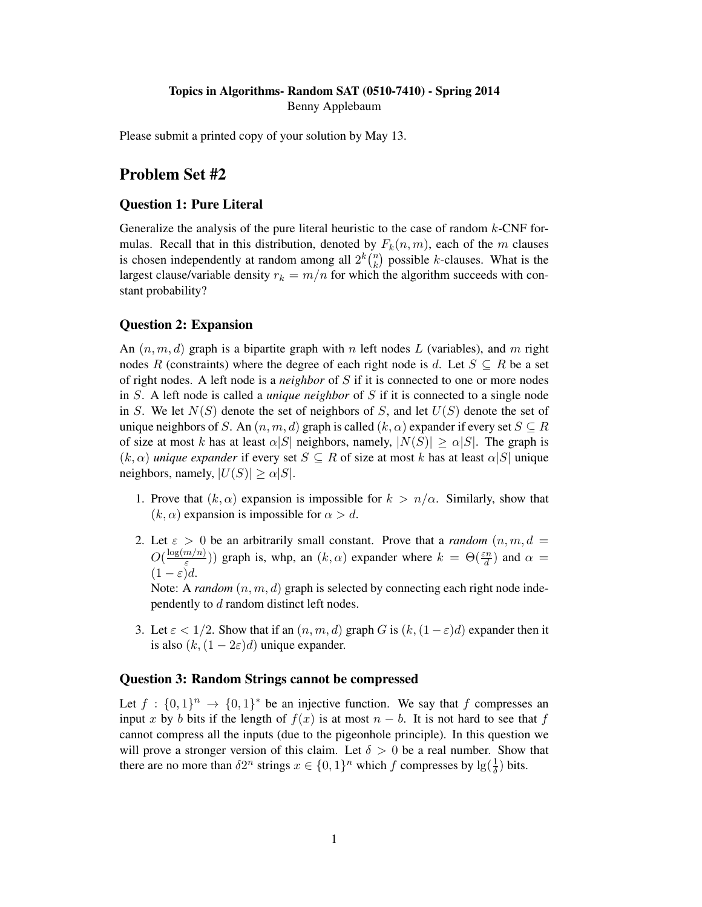# Topics in Algorithms- Random SAT (0510-7410) - Spring 2014 Benny Applebaum

Please submit a printed copy of your solution by May 13.

# Problem Set #2

# Question 1: Pure Literal

Generalize the analysis of the pure literal heuristic to the case of random  $k$ -CNF formulas. Recall that in this distribution, denoted by  $F_k(n,m)$ , each of the m clauses is chosen independently at random among all  $2^k \binom{n}{k}$  $\binom{n}{k}$  possible *k*-clauses. What is the largest clause/variable density  $r_k = m/n$  for which the algorithm succeeds with constant probability?

#### Question 2: Expansion

An  $(n, m, d)$  graph is a bipartite graph with n left nodes L (variables), and m right nodes R (constraints) where the degree of each right node is d. Let  $S \subseteq R$  be a set of right nodes. A left node is a *neighbor* of S if it is connected to one or more nodes in S. A left node is called a *unique neighbor* of S if it is connected to a single node in S. We let  $N(S)$  denote the set of neighbors of S, and let  $U(S)$  denote the set of unique neighbors of S. An  $(n, m, d)$  graph is called  $(k, \alpha)$  expander if every set  $S \subseteq R$ of size at most k has at least  $\alpha|S|$  neighbors, namely,  $|N(S)| \ge \alpha|S|$ . The graph is  $(k, \alpha)$  *unique expander* if every set  $S \subseteq R$  of size at most k has at least  $\alpha |S|$  unique neighbors, namely,  $|U(S)| \ge \alpha |S|$ .

- 1. Prove that  $(k, \alpha)$  expansion is impossible for  $k > n/\alpha$ . Similarly, show that  $(k, \alpha)$  expansion is impossible for  $\alpha > d$ .
- 2. Let  $\varepsilon > 0$  be an arbitrarily small constant. Prove that a *random*  $(n, m, d)$  $O(\frac{\log(m/n)}{\varepsilon})$  $(\frac{m}{\varepsilon}))$  graph is, whp, an  $(k, \alpha)$  expander where  $k = \Theta(\frac{\varepsilon n}{d})$  and  $\alpha =$  $(1 - \varepsilon)d$ .

Note: A *random*  $(n, m, d)$  graph is selected by connecting each right node independently to d random distinct left nodes.

3. Let  $\varepsilon < 1/2$ . Show that if an  $(n, m, d)$  graph G is  $(k, (1 - \varepsilon)d)$  expander then it is also  $(k,(1-2\varepsilon)d)$  unique expander.

# Question 3: Random Strings cannot be compressed

Let  $f : \{0,1\}^n \to \{0,1\}^*$  be an injective function. We say that f compresses an input x by b bits if the length of  $f(x)$  is at most  $n - b$ . It is not hard to see that f cannot compress all the inputs (due to the pigeonhole principle). In this question we will prove a stronger version of this claim. Let  $\delta > 0$  be a real number. Show that there are no more than  $\delta 2^n$  strings  $x \in \{0, 1\}^n$  which f compresses by  $\lg(\frac{1}{\delta})$  bits.